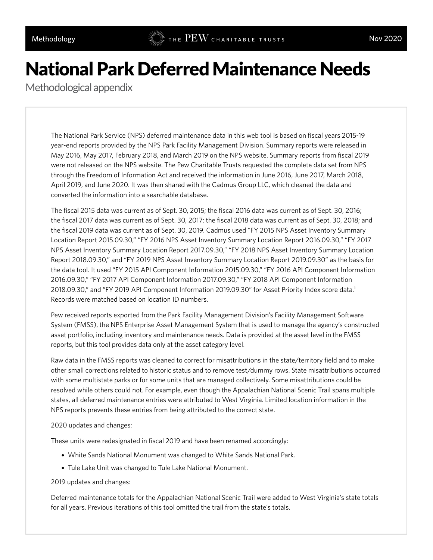## National Park Deferred Maintenance Needs

Methodological appendix

The National Park Service (NPS) deferred maintenance data in this web tool is based on fiscal years 2015-19 year-end reports provided by the NPS Park Facility Management Division. Summary reports were released in May 2016, May 2017, February 2018, and March 2019 on the NPS website. Summary reports from fiscal 2019 were not released on the NPS website. The Pew Charitable Trusts requested the complete data set from NPS through the Freedom of Information Act and received the information in June 2016, June 2017, March 2018, April 2019, and June 2020. It was then shared with the Cadmus Group LLC, which cleaned the data and converted the information into a searchable database.

The fiscal 2015 data was current as of Sept. 30, 2015; the fiscal 2016 data was current as of Sept. 30, 2016; the fiscal 2017 data was current as of Sept. 30, 2017; the fiscal 2018 data was current as of Sept. 30, 2018; and the fiscal 2019 data was current as of Sept. 30, 2019. Cadmus used "FY 2015 NPS Asset Inventory Summary Location Report 2015.09.30," "FY 2016 NPS Asset Inventory Summary Location Report 2016.09.30," "FY 2017 NPS Asset Inventory Summary Location Report 2017.09.30," "FY 2018 NPS Asset Inventory Summary Location Report 2018.09.30," and "FY 2019 NPS Asset Inventory Summary Location Report 2019.09.30" as the basis for the data tool. It used "FY 2015 API Component Information 2015.09.30," "FY 2016 API Component Information 2016.09.30," "FY 2017 API Component Information 2017.09.30," "FY 2018 API Component Information 2018.09.30," and "FY 2019 API Component Information 2019.09.30" for Asset Priority Index score data.<sup>1</sup> Records were matched based on location ID numbers.

Pew received reports exported from the Park Facility Management Division's Facility Management Software System (FMSS), the NPS Enterprise Asset Management System that is used to manage the agency's constructed asset portfolio, including inventory and maintenance needs. Data is provided at the asset level in the FMSS reports, but this tool provides data only at the asset category level.

Raw data in the FMSS reports was cleaned to correct for misattributions in the state/territory field and to make other small corrections related to historic status and to remove test/dummy rows. State misattributions occurred with some multistate parks or for some units that are managed collectively. Some misattributions could be resolved while others could not. For example, even though the Appalachian National Scenic Trail spans multiple states, all deferred maintenance entries were attributed to West Virginia. Limited location information in the NPS reports prevents these entries from being attributed to the correct state.

## 2020 updates and changes:

These units were redesignated in fiscal 2019 and have been renamed accordingly:

- White Sands National Monument was changed to White Sands National Park.
- Tule Lake Unit was changed to Tule Lake National Monument.

## 2019 updates and changes:

Deferred maintenance totals for the Appalachian National Scenic Trail were added to West Virginia's state totals for all years. Previous iterations of this tool omitted the trail from the state's totals.